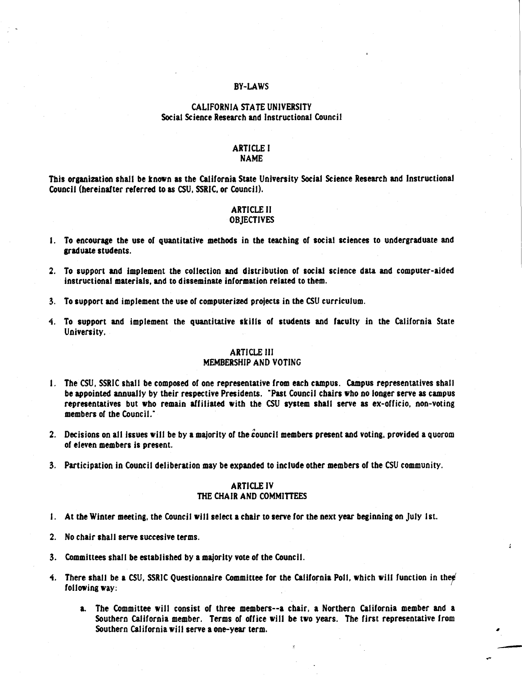# BY-LAWS

# CALIFORNIA STATE UNIVERSITY Social Science Research and Instructional Council

# ARTICLE I

# NAME

This orsanization shall be tnown as the California State University Social Science Research and Instructional Council (hereinafter referred to as CSU, SSRIC, or Council).

#### ARTICLE II **OBJECTIVES**

- 1. To encourage the use of quantitative methods in the teaching of social sciences to undergraduate and sraduate students.
- 2. To support and implement the collection and distribution or social science data and computer-aided instructional materials, and to disseminate information related to them.
- 3. To support and implement the use of computerized projects in the CSU curriculum.
- 1. To support and implement the quantitative skills of students and faculty in the California State University.

# ARTICLE Ill

## MEMBERSHIP AND VOTING

- 1. The CSU, SSRIC shall be composed of one representative from each campus. Campus representatives shall be appointed annually by their respective Presidents. "Past Council chairs who no lonser serve as campus representatives but who remain affiliated with the CSU system shall serve as ex-officio, non-voting members of the Council."
- 2. Decisions on all issues will be by a majority of the council members present and voting, provided a quorom of eleven members is present.
- 3. Participation in Council deliberation may be expanded to include other members of the CSU community.

#### ARTICLE IV THE CHAIR AND COMMITTEES

- 1. At the Winter meeting, the Council will select a chair to serve for the next year beginning on July 1st.
- 2. No chair shall serve succesive terms.
- 3. Committees shall be established by a majority vote of the Council.
- 4. There shall be a CSU, SSRIC Questionnaire Committee for the California Poll, which will function in thee following way: .
	- a. The Committee will consist of three members--a chair, a Northern California member and a Southern California member. Terms of office will be two years. The first representative from Southern California will serve a one-year term.

....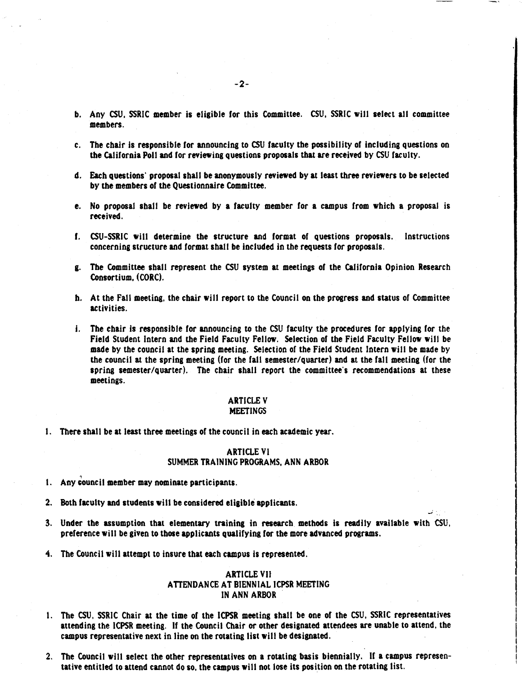- b. Any CSU, SSRIC member is eligible for this Committee. CSU, SSRIC will select all committee members.
- c. The chair is responsible for announcing to CSU faculty the possibility of including questions on the California Poll and for reviewing questions proposals that are received by CSU faculty.
- d. Each questions· proposal shall be anonymously reviewed by at least three reviewers to be selected by the members of the Questionnaire Committee.
- e. No proposal shall be reviewed by a faculty member for a campus from which a proposal is received.
- r. CSU-SSRIC will determine the structure and format of questions proposals. Instructions concerning structure and format shall be included in the requests for proposals.
- g. The Committee shall represent the CSU system at meetings of the Callforola Opinion Research Consortium, (CORC).
- h. At the Fall meeting, the chair will report to the Council on the progress and status of Committee activities.
- i. The chair is responsible for announcing to the CSU faculty the procedures for applying for the Field Student Intern and the Field Faculty Fellow. Selection of the Field Faculty Fellow wilt be made by the council at the spring meeting. Selection of the Field Student Intern wilt be made by the council at the spring meeting (for the fall semester/quarter) and at the fall meeting (for the spring semester/quarter). The chair shall report the committee's recommendations at these meetings.

#### ARTICLE V MEETINGS

I. There shall be at least three meetings of the council in each academic year.

#### ARTICLE VI SUMMER TRAINING PROGRAMS, ANN ARBOR

- 1. Any council member may nominate participants.
- 2. Both faculty and students wilt be considered eligible applicants.
- 3. Under the assumption that elementary tnining in research methods is readily available with CSU, preference will be given to those applicants qualifying for the more advanced programs.

\_;'

'4. The Council will attempt to insure that each campus is represented.

### **ARTICLE VII** ATTENDANCE AT BIENNIAL ICPSR MEETING IN ANN **ARBOR**

- 1. The CSU, SSRIC Chair at the time of the ICPSR meeting shall be one of the CSU, SSRIC representatives attending the ICPSR meeting. If the Council Chair or other designated attendees are unable to attend, the campus representative next in line on the rotating list will be designated.
- 2. The Council will select the other representatives on a rotating basis biennia11y. If a campus representative entitled to attend cannot do so, the campus will not lose its position on the rotating list.